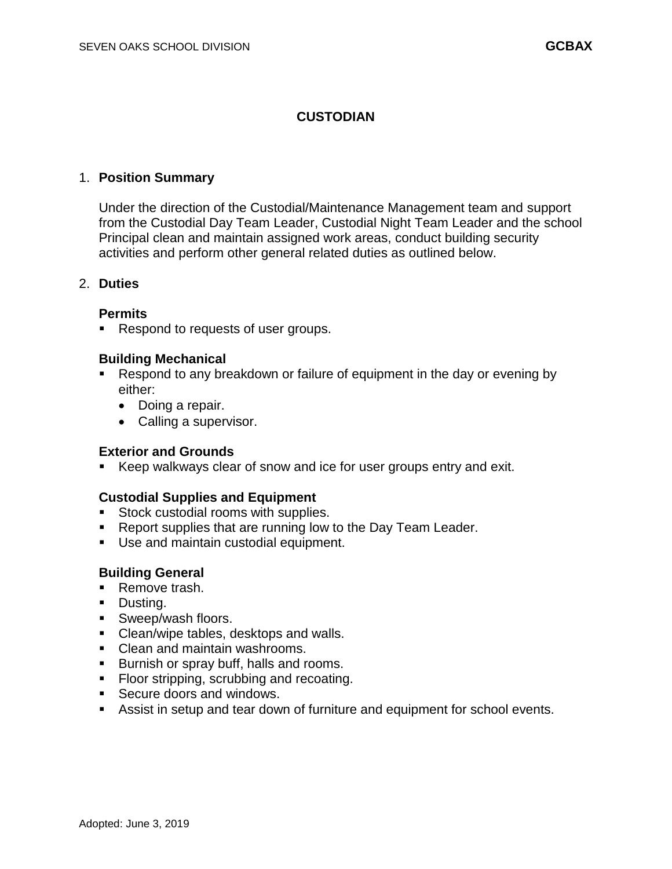## **CUSTODIAN**

### 1. **Position Summary**

Under the direction of the Custodial/Maintenance Management team and support from the Custodial Day Team Leader, Custodial Night Team Leader and the school Principal clean and maintain assigned work areas, conduct building security activities and perform other general related duties as outlined below.

#### 2. **Duties**

### **Permits**

Respond to requests of user groups.

#### **Building Mechanical**

- Respond to any breakdown or failure of equipment in the day or evening by either:
	- Doing a repair.
	- Calling a supervisor.

#### **Exterior and Grounds**

Keep walkways clear of snow and ice for user groups entry and exit.

## **Custodial Supplies and Equipment**

- Stock custodial rooms with supplies.
- **Report supplies that are running low to the Day Team Leader.**
- **Use and maintain custodial equipment.**

## **Building General**

- Remove trash.
- **Dusting.**
- Sweep/wash floors.
- Clean/wipe tables, desktops and walls.
- Clean and maintain washrooms.
- **Burnish or spray buff, halls and rooms.**
- Floor stripping, scrubbing and recoating.
- Secure doors and windows.
- Assist in setup and tear down of furniture and equipment for school events.